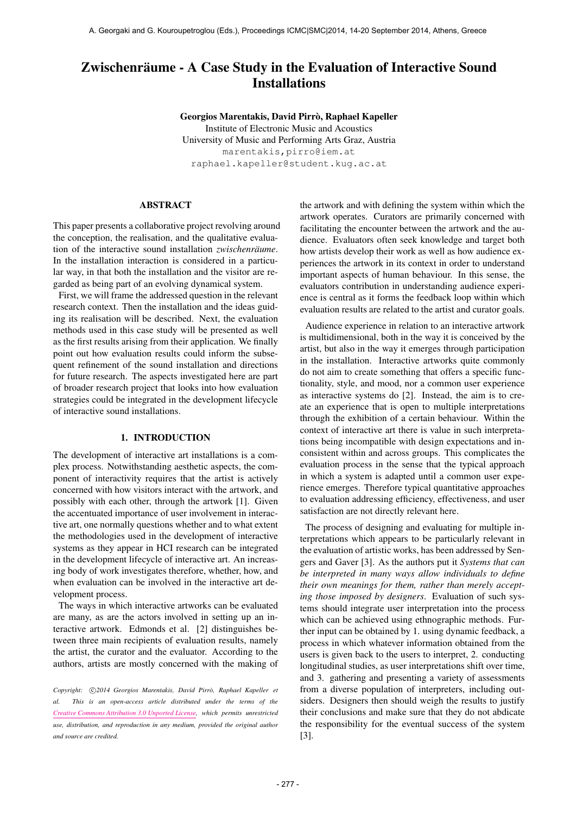# Zwischenräume - A Case Study in the Evaluation of Interactive Sound **Installations**

Georgios Marentakis, David Pirrò, Raphael Kapeller Institute of Electronic Music and Acoustics University of Music and Performing Arts Graz, Austria [marentakis,pirro@iem.at](mailto:marentakis,pirro@iem.at) [raphael.kapeller@student.kug.ac.at](mailto:raphael.kapeller@student.kug.ac.at)

# ABSTRACT

This paper presents a collaborative project revolving around the conception, the realisation, and the qualitative evaluation of the interactive sound installation *zwischenräume*. In the installation interaction is considered in a particular way, in that both the installation and the visitor are regarded as being part of an evolving dynamical system.

First, we will frame the addressed question in the relevant research context. Then the installation and the ideas guiding its realisation will be described. Next, the evaluation methods used in this case study will be presented as well as the first results arising from their application. We finally point out how evaluation results could inform the subsequent refinement of the sound installation and directions for future research. The aspects investigated here are part of broader research project that looks into how evaluation strategies could be integrated in the development lifecycle of interactive sound installations.

# 1. INTRODUCTION

The development of interactive art installations is a complex process. Notwithstanding aesthetic aspects, the component of interactivity requires that the artist is actively concerned with how visitors interact with the artwork, and possibly with each other, through the artwork [1]. Given the accentuated importance of user involvement in interactive art, one normally questions whether and to what extent the methodologies used in the development of interactive systems as they appear in HCI research can be integrated in the development lifecycle of interactive art. An increasing body of work investigates therefore, whether, how, and when evaluation can be involved in the interactive art development process.

The ways in which interactive artworks can be evaluated are many, as are the actors involved in setting up an interactive artwork. Edmonds et al. [2] distinguishes between three main recipients of evaluation results, namely the artist, the curator and the evaluator. According to the authors, artists are mostly concerned with the making of the artwork and with defining the system within which the artwork operates. Curators are primarily concerned with facilitating the encounter between the artwork and the audience. Evaluators often seek knowledge and target both how artists develop their work as well as how audience experiences the artwork in its context in order to understand important aspects of human behaviour. In this sense, the evaluators contribution in understanding audience experience is central as it forms the feedback loop within which evaluation results are related to the artist and curator goals.

Audience experience in relation to an interactive artwork is multidimensional, both in the way it is conceived by the artist, but also in the way it emerges through participation in the installation. Interactive artworks quite commonly do not aim to create something that offers a specific functionality, style, and mood, nor a common user experience as interactive systems do [2]. Instead, the aim is to create an experience that is open to multiple interpretations through the exhibition of a certain behaviour. Within the context of interactive art there is value in such interpretations being incompatible with design expectations and inconsistent within and across groups. This complicates the evaluation process in the sense that the typical approach in which a system is adapted until a common user experience emerges. Therefore typical quantitative approaches to evaluation addressing efficiency, effectiveness, and user satisfaction are not directly relevant here.

The process of designing and evaluating for multiple interpretations which appears to be particularly relevant in the evaluation of artistic works, has been addressed by Sengers and Gaver [3]. As the authors put it *Systems that can be interpreted in many ways allow individuals to define their own meanings for them, rather than merely accepting those imposed by designers*. Evaluation of such systems should integrate user interpretation into the process which can be achieved using ethnographic methods. Further input can be obtained by 1. using dynamic feedback, a process in which whatever information obtained from the users is given back to the users to interpret, 2. conducting longitudinal studies, as user interpretations shift over time, and 3. gathering and presenting a variety of assessments from a diverse population of interpreters, including outsiders. Designers then should weigh the results to justify their conclusions and make sure that they do not abdicate the responsibility for the eventual success of the system [3].

Copyright:  $\bigcirc$ 2014 Georgios Marentakis, David Pirrò, Raphael Kapeller et *al. This is an open-access article distributed under the terms of the [Creative Commons Attribution 3.0 Unported License,](http://creativecommons.org/licenses/by/3.0/) which permits unrestricted use, distribution, and reproduction in any medium, provided the original author and source are credited.*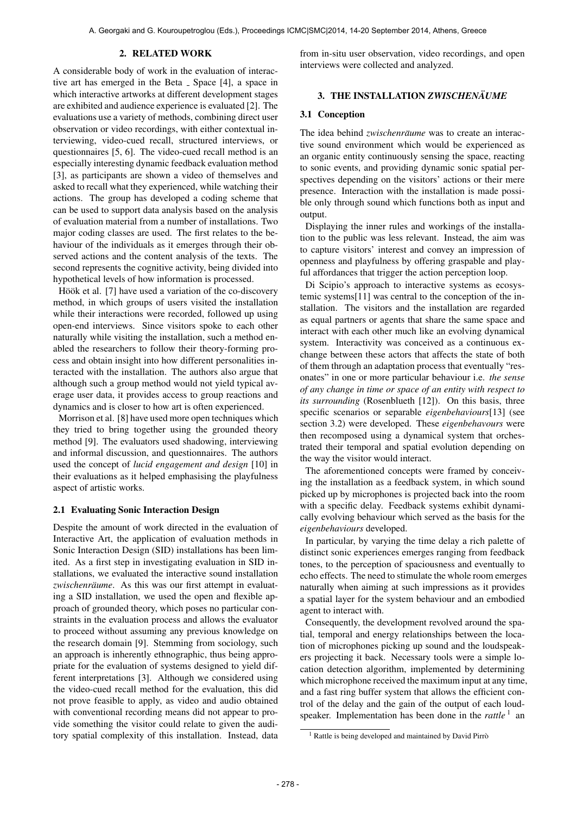# 2. RELATED WORK

A considerable body of work in the evaluation of interactive art has emerged in the Beta  $\overline{\ }$  Space [4], a space in which interactive artworks at different development stages are exhibited and audience experience is evaluated [2]. The evaluations use a variety of methods, combining direct user observation or video recordings, with either contextual interviewing, video-cued recall, structured interviews, or questionnaires [5, 6]. The video-cued recall method is an especially interesting dynamic feedback evaluation method [3], as participants are shown a video of themselves and asked to recall what they experienced, while watching their actions. The group has developed a coding scheme that can be used to support data analysis based on the analysis of evaluation material from a number of installations. Two major coding classes are used. The first relates to the behaviour of the individuals as it emerges through their observed actions and the content analysis of the texts. The second represents the cognitive activity, being divided into hypothetical levels of how information is processed.

Höök et al. [7] have used a variation of the co-discovery method, in which groups of users visited the installation while their interactions were recorded, followed up using open-end interviews. Since visitors spoke to each other naturally while visiting the installation, such a method enabled the researchers to follow their theory-forming process and obtain insight into how different personalities interacted with the installation. The authors also argue that although such a group method would not yield typical average user data, it provides access to group reactions and dynamics and is closer to how art is often experienced.

Morrison et al. [8] have used more open techniques which they tried to bring together using the grounded theory method [9]. The evaluators used shadowing, interviewing and informal discussion, and questionnaires. The authors used the concept of *lucid engagement and design* [10] in their evaluations as it helped emphasising the playfulness aspect of artistic works.

# 2.1 Evaluating Sonic Interaction Design

Despite the amount of work directed in the evaluation of Interactive Art, the application of evaluation methods in Sonic Interaction Design (SID) installations has been limited. As a first step in investigating evaluation in SID installations, we evaluated the interactive sound installation zwischenräume. As this was our first attempt in evaluating a SID installation, we used the open and flexible approach of grounded theory, which poses no particular constraints in the evaluation process and allows the evaluator to proceed without assuming any previous knowledge on the research domain [9]. Stemming from sociology, such an approach is inherently ethnographic, thus being appropriate for the evaluation of systems designed to yield different interpretations [3]. Although we considered using the video-cued recall method for the evaluation, this did not prove feasible to apply, as video and audio obtained with conventional recording means did not appear to provide something the visitor could relate to given the auditory spatial complexity of this installation. Instead, data

from in-situ user observation, video recordings, and open interviews were collected and analyzed.

# 3. THE INSTALLATION *ZWISCHENÄUME*

# 3.1 Conception

The idea behind *zwischenräume* was to create an interactive sound environment which would be experienced as an organic entity continuously sensing the space, reacting to sonic events, and providing dynamic sonic spatial perspectives depending on the visitors' actions or their mere presence. Interaction with the installation is made possible only through sound which functions both as input and output.

Displaying the inner rules and workings of the installation to the public was less relevant. Instead, the aim was to capture visitors' interest and convey an impression of openness and playfulness by offering graspable and playful affordances that trigger the action perception loop.

Di Scipio's approach to interactive systems as ecosystemic systems[11] was central to the conception of the installation. The visitors and the installation are regarded as equal partners or agents that share the same space and interact with each other much like an evolving dynamical system. Interactivity was conceived as a continuous exchange between these actors that affects the state of both of them through an adaptation process that eventually "resonates" in one or more particular behaviour i.e. *the sense of any change in time or space of an entity with respect to its surrounding* (Rosenblueth [12]). On this basis, three specific scenarios or separable *eigenbehaviours*[13] (see section 3.2) were developed. These *eigenbehavours* were then recomposed using a dynamical system that orchestrated their temporal and spatial evolution depending on the way the visitor would interact.

The aforementioned concepts were framed by conceiving the installation as a feedback system, in which sound picked up by microphones is projected back into the room with a specific delay. Feedback systems exhibit dynamically evolving behaviour which served as the basis for the *eigenbehaviours* developed.

In particular, by varying the time delay a rich palette of distinct sonic experiences emerges ranging from feedback tones, to the perception of spaciousness and eventually to echo effects. The need to stimulate the whole room emerges naturally when aiming at such impressions as it provides a spatial layer for the system behaviour and an embodied agent to interact with.

Consequently, the development revolved around the spatial, temporal and energy relationships between the location of microphones picking up sound and the loudspeakers projecting it back. Necessary tools were a simple location detection algorithm, implemented by determining which microphone received the maximum input at any time, and a fast ring buffer system that allows the efficient control of the delay and the gain of the output of each loudspeaker. Implementation has been done in the *rattle*<sup>1</sup> and

<sup>&</sup>lt;sup>1</sup> Rattle is being developed and maintained by David Pirrò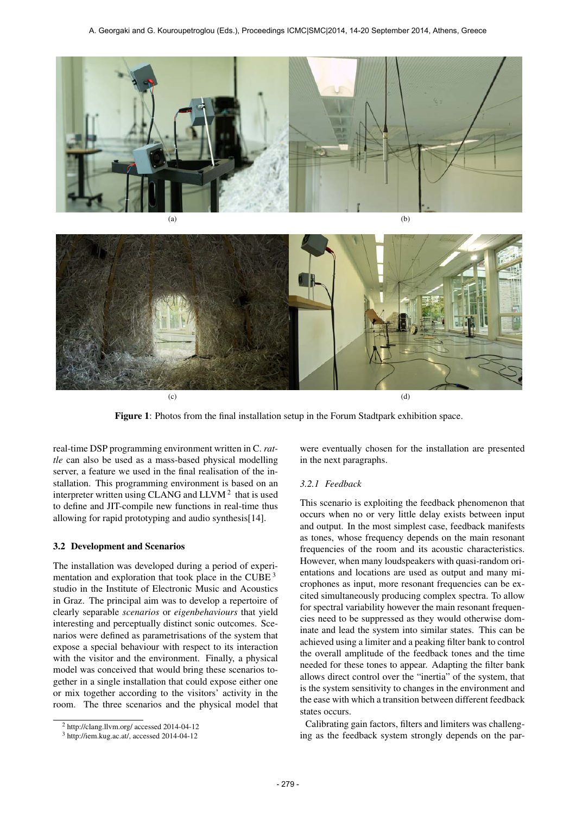



Figure 1: Photos from the final installation setup in the Forum Stadtpark exhibition space.

real-time DSP programming environment written in C. *rattle* can also be used as a mass-based physical modelling server, a feature we used in the final realisation of the installation. This programming environment is based on an interpreter written using CLANG and  $LLVM<sup>2</sup>$  that is used to define and JIT-compile new functions in real-time thus allowing for rapid prototyping and audio synthesis[14].

# 3.2 Development and Scenarios

The installation was developed during a period of experimentation and exploration that took place in the CUBE  $3$ studio in the Institute of Electronic Music and Acoustics in Graz. The principal aim was to develop a repertoire of clearly separable *scenarios* or *eigenbehaviours* that yield interesting and perceptually distinct sonic outcomes. Scenarios were defined as parametrisations of the system that expose a special behaviour with respect to its interaction with the visitor and the environment. Finally, a physical model was conceived that would bring these scenarios together in a single installation that could expose either one or mix together according to the visitors' activity in the room. The three scenarios and the physical model that

were eventually chosen for the installation are presented in the next paragraphs.

# *3.2.1 Feedback*

This scenario is exploiting the feedback phenomenon that occurs when no or very little delay exists between input and output. In the most simplest case, feedback manifests as tones, whose frequency depends on the main resonant frequencies of the room and its acoustic characteristics. However, when many loudspeakers with quasi-random orientations and locations are used as output and many microphones as input, more resonant frequencies can be excited simultaneously producing complex spectra. To allow for spectral variability however the main resonant frequencies need to be suppressed as they would otherwise dominate and lead the system into similar states. This can be achieved using a limiter and a peaking filter bank to control the overall amplitude of the feedback tones and the time needed for these tones to appear. Adapting the filter bank allows direct control over the "inertia" of the system, that is the system sensitivity to changes in the environment and the ease with which a transition between different feedback states occurs.

Calibrating gain factors, filters and limiters was challenging as the feedback system strongly depends on the par-

<sup>2</sup> http://clang.llvm.org/ accessed 2014-04-12

<sup>3</sup> http://iem.kug.ac.at/, accessed 2014-04-12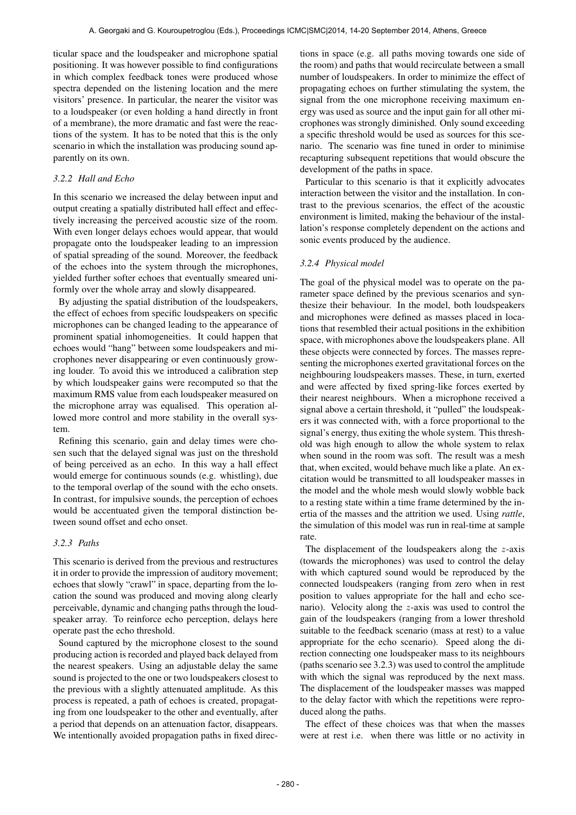ticular space and the loudspeaker and microphone spatial positioning. It was however possible to find configurations in which complex feedback tones were produced whose spectra depended on the listening location and the mere visitors' presence. In particular, the nearer the visitor was to a loudspeaker (or even holding a hand directly in front of a membrane), the more dramatic and fast were the reactions of the system. It has to be noted that this is the only scenario in which the installation was producing sound apparently on its own.

# *3.2.2 Hall and Echo*

In this scenario we increased the delay between input and output creating a spatially distributed hall effect and effectively increasing the perceived acoustic size of the room. With even longer delays echoes would appear, that would propagate onto the loudspeaker leading to an impression of spatial spreading of the sound. Moreover, the feedback of the echoes into the system through the microphones, yielded further softer echoes that eventually smeared uniformly over the whole array and slowly disappeared.

By adjusting the spatial distribution of the loudspeakers, the effect of echoes from specific loudspeakers on specific microphones can be changed leading to the appearance of prominent spatial inhomogeneities. It could happen that echoes would "hang" between some loudspeakers and microphones never disappearing or even continuously growing louder. To avoid this we introduced a calibration step by which loudspeaker gains were recomputed so that the maximum RMS value from each loudspeaker measured on the microphone array was equalised. This operation allowed more control and more stability in the overall system.

Refining this scenario, gain and delay times were chosen such that the delayed signal was just on the threshold of being perceived as an echo. In this way a hall effect would emerge for continuous sounds (e.g. whistling), due to the temporal overlap of the sound with the echo onsets. In contrast, for impulsive sounds, the perception of echoes would be accentuated given the temporal distinction between sound offset and echo onset.

# *3.2.3 Paths*

This scenario is derived from the previous and restructures it in order to provide the impression of auditory movement; echoes that slowly "crawl" in space, departing from the location the sound was produced and moving along clearly perceivable, dynamic and changing paths through the loudspeaker array. To reinforce echo perception, delays here operate past the echo threshold.

Sound captured by the microphone closest to the sound producing action is recorded and played back delayed from the nearest speakers. Using an adjustable delay the same sound is projected to the one or two loudspeakers closest to the previous with a slightly attenuated amplitude. As this process is repeated, a path of echoes is created, propagating from one loudspeaker to the other and eventually, after a period that depends on an attenuation factor, disappears. We intentionally avoided propagation paths in fixed directions in space (e.g. all paths moving towards one side of the room) and paths that would recirculate between a small number of loudspeakers. In order to minimize the effect of propagating echoes on further stimulating the system, the signal from the one microphone receiving maximum energy was used as source and the input gain for all other microphones was strongly diminished. Only sound exceeding a specific threshold would be used as sources for this scenario. The scenario was fine tuned in order to minimise recapturing subsequent repetitions that would obscure the development of the paths in space.

Particular to this scenario is that it explicitly advocates interaction between the visitor and the installation. In contrast to the previous scenarios, the effect of the acoustic environment is limited, making the behaviour of the installation's response completely dependent on the actions and sonic events produced by the audience.

#### *3.2.4 Physical model*

The goal of the physical model was to operate on the parameter space defined by the previous scenarios and synthesize their behaviour. In the model, both loudspeakers and microphones were defined as masses placed in locations that resembled their actual positions in the exhibition space, with microphones above the loudspeakers plane. All these objects were connected by forces. The masses representing the microphones exerted gravitational forces on the neighbouring loudspeakers masses. These, in turn, exerted and were affected by fixed spring-like forces exerted by their nearest neighbours. When a microphone received a signal above a certain threshold, it "pulled" the loudspeakers it was connected with, with a force proportional to the signal's energy, thus exiting the whole system. This threshold was high enough to allow the whole system to relax when sound in the room was soft. The result was a mesh that, when excited, would behave much like a plate. An excitation would be transmitted to all loudspeaker masses in the model and the whole mesh would slowly wobble back to a resting state within a time frame determined by the inertia of the masses and the attrition we used. Using *rattle*, the simulation of this model was run in real-time at sample rate.

The displacement of the loudspeakers along the  $z$ -axis (towards the microphones) was used to control the delay with which captured sound would be reproduced by the connected loudspeakers (ranging from zero when in rest position to values appropriate for the hall and echo scenario). Velocity along the z-axis was used to control the gain of the loudspeakers (ranging from a lower threshold suitable to the feedback scenario (mass at rest) to a value appropriate for the echo scenario). Speed along the direction connecting one loudspeaker mass to its neighbours (paths scenario see 3.2.3) was used to control the amplitude with which the signal was reproduced by the next mass. The displacement of the loudspeaker masses was mapped to the delay factor with which the repetitions were reproduced along the paths.

The effect of these choices was that when the masses were at rest i.e. when there was little or no activity in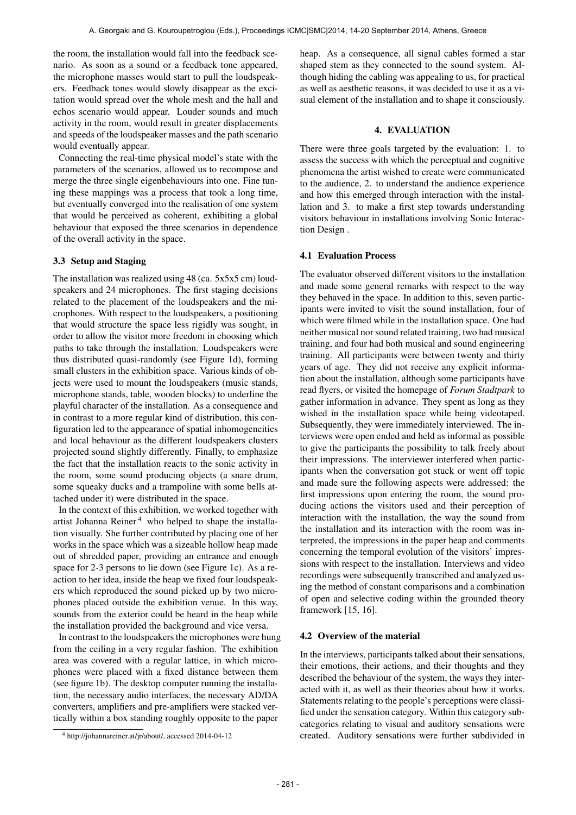the room, the installation would fall into the feedback scenario. As soon as a sound or a feedback tone appeared, the microphone masses would start to pull the loudspeakers. Feedback tones would slowly disappear as the excitation would spread over the whole mesh and the hall and echos scenario would appear. Louder sounds and much activity in the room, would result in greater displacements and speeds of the loudspeaker masses and the path scenario would eventually appear.

Connecting the real-time physical model's state with the parameters of the scenarios, allowed us to recompose and merge the three single eigenbehaviours into one. Fine tuning these mappings was a process that took a long time, but eventually converged into the realisation of one system that would be perceived as coherent, exhibiting a global behaviour that exposed the three scenarios in dependence of the overall activity in the space.

# 3.3 Setup and Staging

The installation was realized using 48 (ca. 5x5x5 cm) loudspeakers and 24 microphones. The first staging decisions related to the placement of the loudspeakers and the microphones. With respect to the loudspeakers, a positioning that would structure the space less rigidly was sought, in order to allow the visitor more freedom in choosing which paths to take through the installation. Loudspeakers were thus distributed quasi-randomly (see Figure 1d), forming small clusters in the exhibition space. Various kinds of objects were used to mount the loudspeakers (music stands, microphone stands, table, wooden blocks) to underline the playful character of the installation. As a consequence and in contrast to a more regular kind of distribution, this configuration led to the appearance of spatial inhomogeneities and local behaviour as the different loudspeakers clusters projected sound slightly differently. Finally, to emphasize the fact that the installation reacts to the sonic activity in the room, some sound producing objects (a snare drum, some squeaky ducks and a trampoline with some bells attached under it) were distributed in the space.

In the context of this exhibition, we worked together with artist Johanna Reiner<sup>4</sup> who helped to shape the installation visually. She further contributed by placing one of her works in the space which was a sizeable hollow heap made out of shredded paper, providing an entrance and enough space for 2-3 persons to lie down (see Figure 1c). As a reaction to her idea, inside the heap we fixed four loudspeakers which reproduced the sound picked up by two microphones placed outside the exhibition venue. In this way, sounds from the exterior could be heard in the heap while the installation provided the background and vice versa.

In contrast to the loudspeakers the microphones were hung from the ceiling in a very regular fashion. The exhibition area was covered with a regular lattice, in which microphones were placed with a fixed distance between them (see figure 1b). The desktop computer running the installation, the necessary audio interfaces, the necessary AD/DA converters, amplifiers and pre-amplifiers were stacked vertically within a box standing roughly opposite to the paper

heap. As a consequence, all signal cables formed a star shaped stem as they connected to the sound system. Although hiding the cabling was appealing to us, for practical as well as aesthetic reasons, it was decided to use it as a visual element of the installation and to shape it consciously.

# 4. EVALUATION

There were three goals targeted by the evaluation: 1. to assess the success with which the perceptual and cognitive phenomena the artist wished to create were communicated to the audience, 2. to understand the audience experience and how this emerged through interaction with the installation and 3. to make a first step towards understanding visitors behaviour in installations involving Sonic Interaction Design .

# 4.1 Evaluation Process

The evaluator observed different visitors to the installation and made some general remarks with respect to the way they behaved in the space. In addition to this, seven participants were invited to visit the sound installation, four of which were filmed while in the installation space. One had neither musical nor sound related training, two had musical training, and four had both musical and sound engineering training. All participants were between twenty and thirty years of age. They did not receive any explicit information about the installation, although some participants have read flyers, or visited the homepage of *Forum Stadtpark* to gather information in advance. They spent as long as they wished in the installation space while being videotaped. Subsequently, they were immediately interviewed. The interviews were open ended and held as informal as possible to give the participants the possibility to talk freely about their impressions. The interviewer interfered when participants when the conversation got stuck or went off topic and made sure the following aspects were addressed: the first impressions upon entering the room, the sound producing actions the visitors used and their perception of interaction with the installation, the way the sound from the installation and its interaction with the room was interpreted, the impressions in the paper heap and comments concerning the temporal evolution of the visitors' impressions with respect to the installation. Interviews and video recordings were subsequently transcribed and analyzed using the method of constant comparisons and a combination of open and selective coding within the grounded theory framework [15, 16].

# 4.2 Overview of the material

In the interviews, participants talked about their sensations, their emotions, their actions, and their thoughts and they described the behaviour of the system, the ways they interacted with it, as well as their theories about how it works. Statements relating to the people's perceptions were classified under the sensation category. Within this category subcategories relating to visual and auditory sensations were created. Auditory sensations were further subdivided in

<sup>4</sup> http://johannareiner.at/jr/about/, accessed 2014-04-12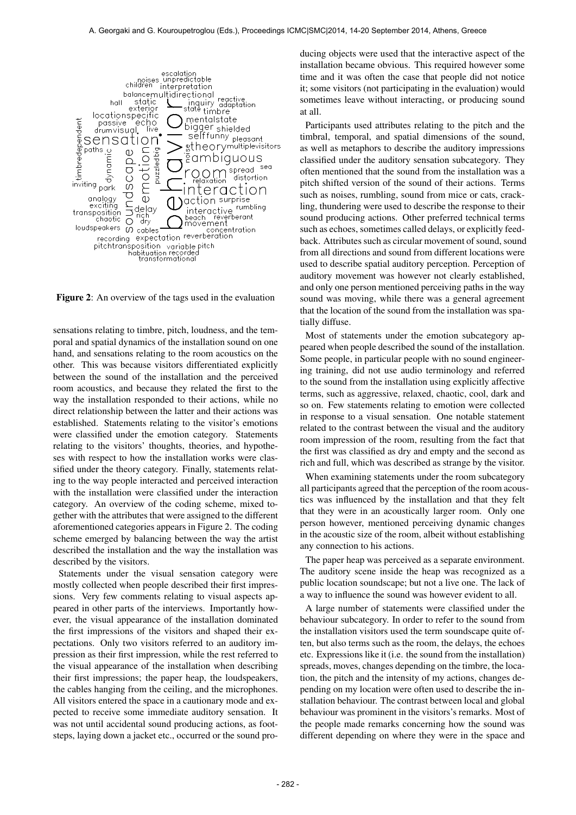

Figure 2: An overview of the tags used in the evaluation

sensations relating to timbre, pitch, loudness, and the temporal and spatial dynamics of the installation sound on one hand, and sensations relating to the room acoustics on the other. This was because visitors differentiated explicitly between the sound of the installation and the perceived room acoustics, and because they related the first to the way the installation responded to their actions, while no direct relationship between the latter and their actions was established. Statements relating to the visitor's emotions were classified under the emotion category. Statements relating to the visitors' thoughts, theories, and hypotheses with respect to how the installation works were classified under the theory category. Finally, statements relating to the way people interacted and perceived interaction with the installation were classified under the interaction category. An overview of the coding scheme, mixed together with the attributes that were assigned to the different aforementioned categories appears in Figure 2. The coding scheme emerged by balancing between the way the artist described the installation and the way the installation was described by the visitors.

Statements under the visual sensation category were mostly collected when people described their first impressions. Very few comments relating to visual aspects appeared in other parts of the interviews. Importantly however, the visual appearance of the installation dominated the first impressions of the visitors and shaped their expectations. Only two visitors referred to an auditory impression as their first impression, while the rest referred to the visual appearance of the installation when describing their first impressions; the paper heap, the loudspeakers, the cables hanging from the ceiling, and the microphones. All visitors entered the space in a cautionary mode and expected to receive some immediate auditory sensation. It was not until accidental sound producing actions, as footsteps, laying down a jacket etc., occurred or the sound producing objects were used that the interactive aspect of the installation became obvious. This required however some time and it was often the case that people did not notice it; some visitors (not participating in the evaluation) would sometimes leave without interacting, or producing sound at all.

Participants used attributes relating to the pitch and the timbral, temporal, and spatial dimensions of the sound, as well as metaphors to describe the auditory impressions classified under the auditory sensation subcategory. They often mentioned that the sound from the installation was a pitch shifted version of the sound of their actions. Terms such as noises, rumbling, sound from mice or cats, crackling, thundering were used to describe the response to their sound producing actions. Other preferred technical terms such as echoes, sometimes called delays, or explicitly feedback. Attributes such as circular movement of sound, sound from all directions and sound from different locations were used to describe spatial auditory perception. Perception of auditory movement was however not clearly established, and only one person mentioned perceiving paths in the way sound was moving, while there was a general agreement that the location of the sound from the installation was spatially diffuse.

Most of statements under the emotion subcategory appeared when people described the sound of the installation. Some people, in particular people with no sound engineering training, did not use audio terminology and referred to the sound from the installation using explicitly affective terms, such as aggressive, relaxed, chaotic, cool, dark and so on. Few statements relating to emotion were collected in response to a visual sensation. One notable statement related to the contrast between the visual and the auditory room impression of the room, resulting from the fact that the first was classified as dry and empty and the second as rich and full, which was described as strange by the visitor.

When examining statements under the room subcategory all participants agreed that the perception of the room acoustics was influenced by the installation and that they felt that they were in an acoustically larger room. Only one person however, mentioned perceiving dynamic changes in the acoustic size of the room, albeit without establishing any connection to his actions.

The paper heap was perceived as a separate environment. The auditory scene inside the heap was recognized as a public location soundscape; but not a live one. The lack of a way to influence the sound was however evident to all.

A large number of statements were classified under the behaviour subcategory. In order to refer to the sound from the installation visitors used the term soundscape quite often, but also terms such as the room, the delays, the echoes etc. Expressions like it (i.e. the sound from the installation) spreads, moves, changes depending on the timbre, the location, the pitch and the intensity of my actions, changes depending on my location were often used to describe the installation behaviour. The contrast between local and global behaviour was prominent in the visitors's remarks. Most of the people made remarks concerning how the sound was different depending on where they were in the space and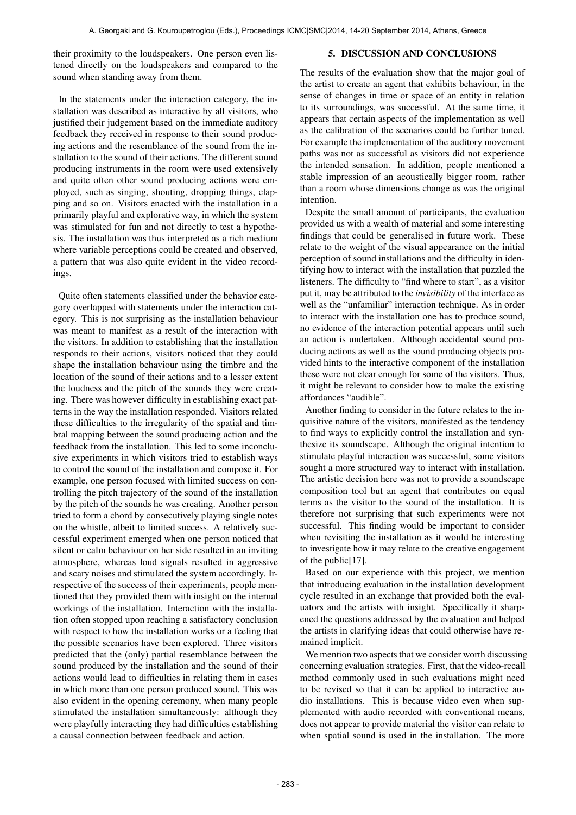their proximity to the loudspeakers. One person even listened directly on the loudspeakers and compared to the sound when standing away from them.

#### 5. DISCUSSION AND CONCLUSIONS

In the statements under the interaction category, the installation was described as interactive by all visitors, who justified their judgement based on the immediate auditory feedback they received in response to their sound producing actions and the resemblance of the sound from the installation to the sound of their actions. The different sound producing instruments in the room were used extensively and quite often other sound producing actions were employed, such as singing, shouting, dropping things, clapping and so on. Visitors enacted with the installation in a primarily playful and explorative way, in which the system was stimulated for fun and not directly to test a hypothesis. The installation was thus interpreted as a rich medium where variable perceptions could be created and observed, a pattern that was also quite evident in the video recordings.

Quite often statements classified under the behavior category overlapped with statements under the interaction category. This is not surprising as the installation behaviour was meant to manifest as a result of the interaction with the visitors. In addition to establishing that the installation responds to their actions, visitors noticed that they could shape the installation behaviour using the timbre and the location of the sound of their actions and to a lesser extent the loudness and the pitch of the sounds they were creating. There was however difficulty in establishing exact patterns in the way the installation responded. Visitors related these difficulties to the irregularity of the spatial and timbral mapping between the sound producing action and the feedback from the installation. This led to some inconclusive experiments in which visitors tried to establish ways to control the sound of the installation and compose it. For example, one person focused with limited success on controlling the pitch trajectory of the sound of the installation by the pitch of the sounds he was creating. Another person tried to form a chord by consecutively playing single notes on the whistle, albeit to limited success. A relatively successful experiment emerged when one person noticed that silent or calm behaviour on her side resulted in an inviting atmosphere, whereas loud signals resulted in aggressive and scary noises and stimulated the system accordingly. Irrespective of the success of their experiments, people mentioned that they provided them with insight on the internal workings of the installation. Interaction with the installation often stopped upon reaching a satisfactory conclusion with respect to how the installation works or a feeling that the possible scenarios have been explored. Three visitors predicted that the (only) partial resemblance between the sound produced by the installation and the sound of their actions would lead to difficulties in relating them in cases in which more than one person produced sound. This was also evident in the opening ceremony, when many people stimulated the installation simultaneously: although they were playfully interacting they had difficulties establishing a causal connection between feedback and action.

The results of the evaluation show that the major goal of the artist to create an agent that exhibits behaviour, in the sense of changes in time or space of an entity in relation to its surroundings, was successful. At the same time, it appears that certain aspects of the implementation as well as the calibration of the scenarios could be further tuned. For example the implementation of the auditory movement paths was not as successful as visitors did not experience the intended sensation. In addition, people mentioned a stable impression of an acoustically bigger room, rather than a room whose dimensions change as was the original intention.

Despite the small amount of participants, the evaluation provided us with a wealth of material and some interesting findings that could be generalised in future work. These relate to the weight of the visual appearance on the initial perception of sound installations and the difficulty in identifying how to interact with the installation that puzzled the listeners. The difficulty to "find where to start", as a visitor put it, may be attributed to the *invisibility* of the interface as well as the "unfamiliar" interaction technique. As in order to interact with the installation one has to produce sound, no evidence of the interaction potential appears until such an action is undertaken. Although accidental sound producing actions as well as the sound producing objects provided hints to the interactive component of the installation these were not clear enough for some of the visitors. Thus, it might be relevant to consider how to make the existing affordances "audible".

Another finding to consider in the future relates to the inquisitive nature of the visitors, manifested as the tendency to find ways to explicitly control the installation and synthesize its soundscape. Although the original intention to stimulate playful interaction was successful, some visitors sought a more structured way to interact with installation. The artistic decision here was not to provide a soundscape composition tool but an agent that contributes on equal terms as the visitor to the sound of the installation. It is therefore not surprising that such experiments were not successful. This finding would be important to consider when revisiting the installation as it would be interesting to investigate how it may relate to the creative engagement of the public[17].

Based on our experience with this project, we mention that introducing evaluation in the installation development cycle resulted in an exchange that provided both the evaluators and the artists with insight. Specifically it sharpened the questions addressed by the evaluation and helped the artists in clarifying ideas that could otherwise have remained implicit.

We mention two aspects that we consider worth discussing concerning evaluation strategies. First, that the video-recall method commonly used in such evaluations might need to be revised so that it can be applied to interactive audio installations. This is because video even when supplemented with audio recorded with conventional means, does not appear to provide material the visitor can relate to when spatial sound is used in the installation. The more